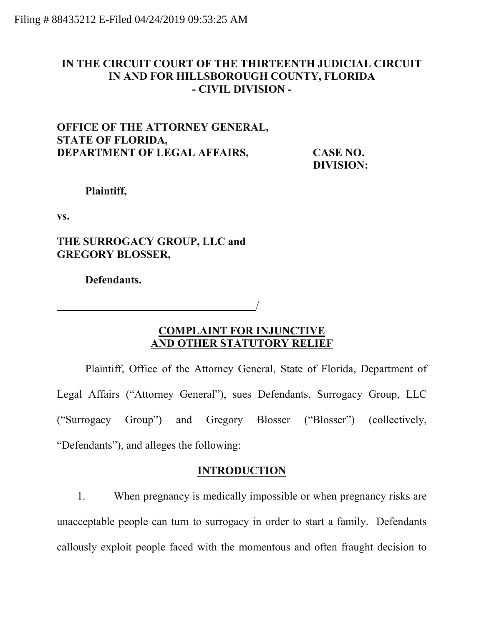# **IN THE CIRCUIT COURT OF THE THIRTEENTH JUDICIAL CIRCUIT IN AND FOR HILLSBOROUGH COUNTY, FLORIDA - CIVIL DIVISION -**

# **OFFICE OF THE ATTORNEY GENERAL, STATE OF FLORIDA, DEPARTMENT OF LEGAL AFFAIRS, CASE NO.**

**DIVISION:** 

**Plaintiff,**

**vs.**

**THE SURROGACY GROUP, LLC and GREGORY BLOSSER,** 

**Defendants.**

## **COMPLAINT FOR INJUNCTIVE AND OTHER STATUTORY RELIEF**

/

Plaintiff, Office of the Attorney General, State of Florida, Department of Legal Affairs ("Attorney General"), sues Defendants, Surrogacy Group, LLC ("Surrogacy Group") and Gregory Blosser ("Blosser") (collectively, "Defendants"), and alleges the following:

# **INTRODUCTION**

1. When pregnancy is medically impossible or when pregnancy risks are unacceptable people can turn to surrogacy in order to start a family. Defendants callously exploit people faced with the momentous and often fraught decision to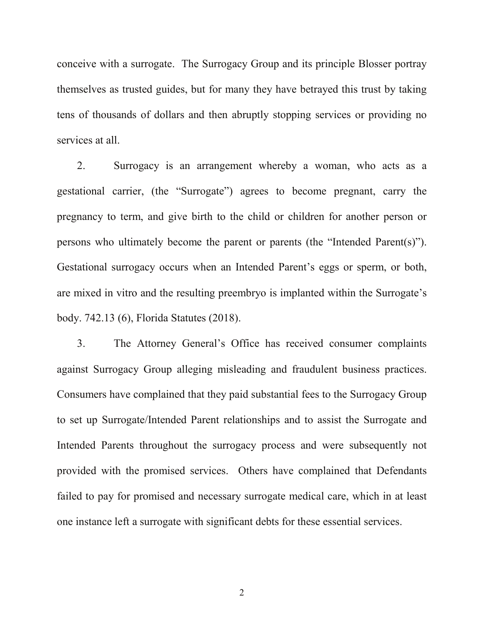conceive with a surrogate. The Surrogacy Group and its principle Blosser portray themselves as trusted guides, but for many they have betrayed this trust by taking tens of thousands of dollars and then abruptly stopping services or providing no services at all.

2. Surrogacy is an arrangement whereby a woman, who acts as a gestational carrier, (the "Surrogate") agrees to become pregnant, carry the pregnancy to term, and give birth to the child or children for another person or persons who ultimately become the parent or parents (the "Intended Parent(s)"). Gestational surrogacy occurs when an Intended Parent's eggs or sperm, or both, are mixed in vitro and the resulting preembryo is implanted within the Surrogate's body. 742.13 (6), Florida Statutes (2018).

3. The Attorney General's Office has received consumer complaints against Surrogacy Group alleging misleading and fraudulent business practices. Consumers have complained that they paid substantial fees to the Surrogacy Group to set up Surrogate/Intended Parent relationships and to assist the Surrogate and Intended Parents throughout the surrogacy process and were subsequently not provided with the promised services. Others have complained that Defendants failed to pay for promised and necessary surrogate medical care, which in at least one instance left a surrogate with significant debts for these essential services.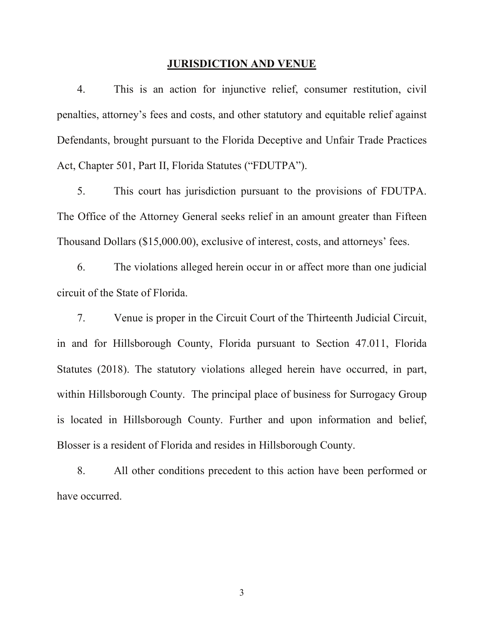#### **JURISDICTION AND VENUE**

4. This is an action for injunctive relief, consumer restitution, civil penalties, attorney's fees and costs, and other statutory and equitable relief against Defendants, brought pursuant to the Florida Deceptive and Unfair Trade Practices Act, Chapter 501, Part II, Florida Statutes ("FDUTPA").

5. This court has jurisdiction pursuant to the provisions of FDUTPA. The Office of the Attorney General seeks relief in an amount greater than Fifteen Thousand Dollars (\$15,000.00), exclusive of interest, costs, and attorneys' fees.

6. The violations alleged herein occur in or affect more than one judicial circuit of the State of Florida.

7. Venue is proper in the Circuit Court of the Thirteenth Judicial Circuit, in and for Hillsborough County, Florida pursuant to Section 47.011, Florida Statutes (2018). The statutory violations alleged herein have occurred, in part, within Hillsborough County. The principal place of business for Surrogacy Group is located in Hillsborough County. Further and upon information and belief, Blosser is a resident of Florida and resides in Hillsborough County.

8. All other conditions precedent to this action have been performed or have occurred.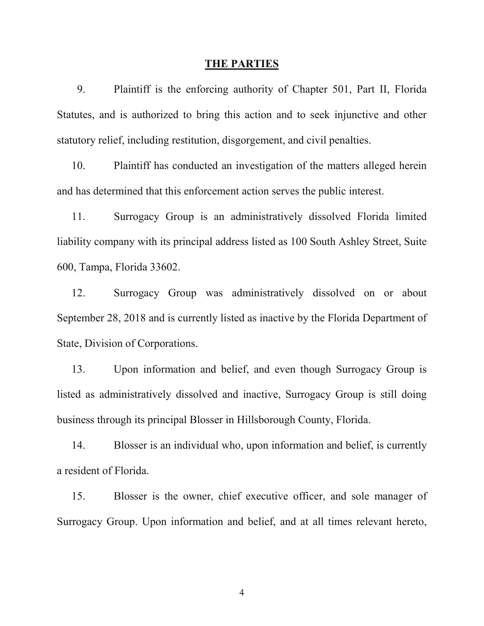#### **THE PARTIES**

9. Plaintiff is the enforcing authority of Chapter 501, Part II, Florida Statutes, and is authorized to bring this action and to seek injunctive and other statutory relief, including restitution, disgorgement, and civil penalties.

10. Plaintiff has conducted an investigation of the matters alleged herein and has determined that this enforcement action serves the public interest.

11. Surrogacy Group is an administratively dissolved Florida limited liability company with its principal address listed as 100 South Ashley Street, Suite 600, Tampa, Florida 33602.

12. Surrogacy Group was administratively dissolved on or about September 28, 2018 and is currently listed as inactive by the Florida Department of State, Division of Corporations.

13. Upon information and belief, and even though Surrogacy Group is listed as administratively dissolved and inactive, Surrogacy Group is still doing business through its principal Blosser in Hillsborough County, Florida.

14. Blosser is an individual who, upon information and belief, is currently a resident of Florida.

15. Blosser is the owner, chief executive officer, and sole manager of Surrogacy Group. Upon information and belief, and at all times relevant hereto,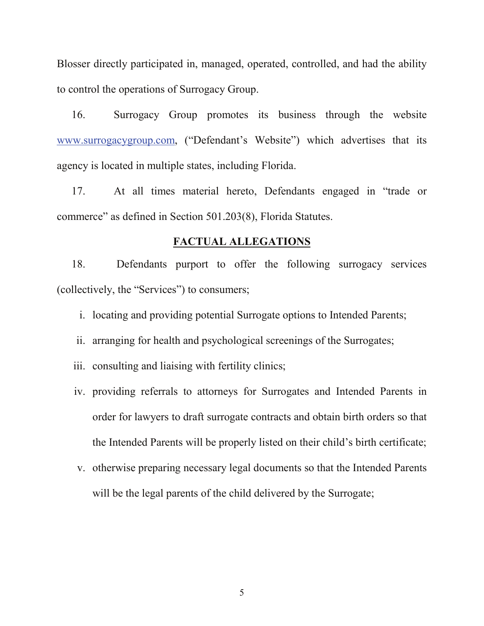Blosser directly participated in, managed, operated, controlled, and had the ability to control the operations of Surrogacy Group.

16. Surrogacy Group promotes its business through the website [www.surrogacygroup.com,](http://www.surrogacygroup.com/) ("Defendant's Website") which advertises that its agency is located in multiple states, including Florida.

17. At all times material hereto, Defendants engaged in "trade or commerce" as defined in Section 501.203(8), Florida Statutes.

### **FACTUAL ALLEGATIONS**

18. Defendants purport to offer the following surrogacy services (collectively, the "Services") to consumers;

i. locating and providing potential Surrogate options to Intended Parents;

ii. arranging for health and psychological screenings of the Surrogates;

iii. consulting and liaising with fertility clinics;

- iv. providing referrals to attorneys for Surrogates and Intended Parents in order for lawyers to draft surrogate contracts and obtain birth orders so that the Intended Parents will be properly listed on their child's birth certificate;
- v. otherwise preparing necessary legal documents so that the Intended Parents will be the legal parents of the child delivered by the Surrogate;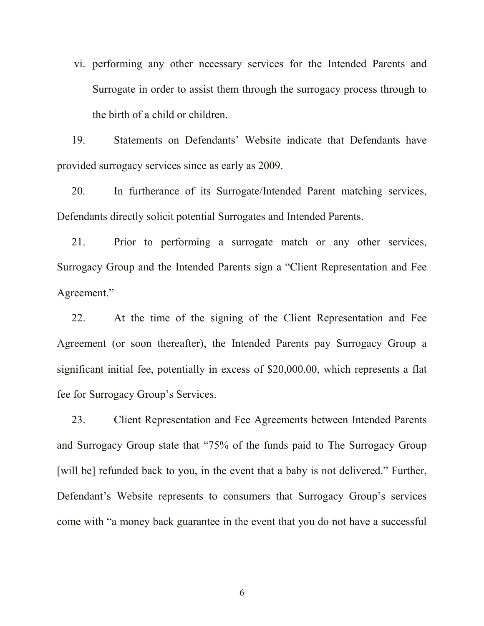vi. performing any other necessary services for the Intended Parents and Surrogate in order to assist them through the surrogacy process through to the birth of a child or children.

19. Statements on Defendants' Website indicate that Defendants have provided surrogacy services since as early as 2009.

20. In furtherance of its Surrogate/Intended Parent matching services, Defendants directly solicit potential Surrogates and Intended Parents.

21. Prior to performing a surrogate match or any other services, Surrogacy Group and the Intended Parents sign a "Client Representation and Fee Agreement."

22. At the time of the signing of the Client Representation and Fee Agreement (or soon thereafter), the Intended Parents pay Surrogacy Group a significant initial fee, potentially in excess of \$20,000.00, which represents a flat fee for Surrogacy Group's Services.

23. Client Representation and Fee Agreements between Intended Parents and Surrogacy Group state that "75% of the funds paid to The Surrogacy Group [will be] refunded back to you, in the event that a baby is not delivered." Further, Defendant's Website represents to consumers that Surrogacy Group's services come with "a money back guarantee in the event that you do not have a successful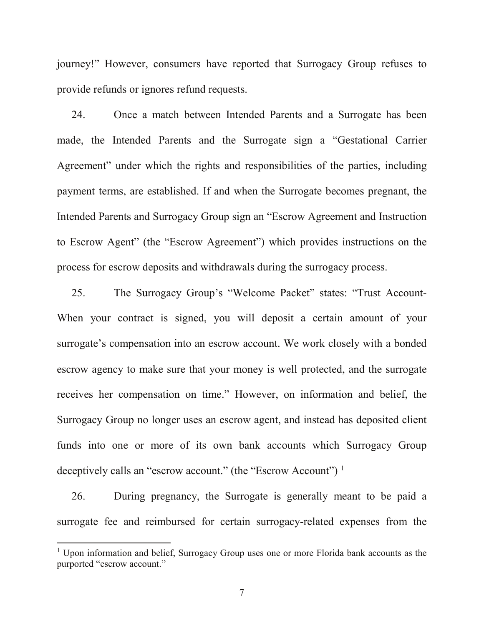journey!" However, consumers have reported that Surrogacy Group refuses to provide refunds or ignores refund requests.

24. Once a match between Intended Parents and a Surrogate has been made, the Intended Parents and the Surrogate sign a "Gestational Carrier Agreement" under which the rights and responsibilities of the parties, including payment terms, are established. If and when the Surrogate becomes pregnant, the Intended Parents and Surrogacy Group sign an "Escrow Agreement and Instruction to Escrow Agent" (the "Escrow Agreement") which provides instructions on the process for escrow deposits and withdrawals during the surrogacy process.

25. The Surrogacy Group's "Welcome Packet" states: "Trust Account-When your contract is signed, you will deposit a certain amount of your surrogate's compensation into an escrow account. We work closely with a bonded escrow agency to make sure that your money is well protected, and the surrogate receives her compensation on time." However, on information and belief, the Surrogacy Group no longer uses an escrow agent, and instead has deposited client funds into one or more of its own bank accounts which Surrogacy Group deceptively calls an "escrow account." (the "Escrow Account")<sup>[1](#page-6-0)</sup>

26. During pregnancy, the Surrogate is generally meant to be paid a surrogate fee and reimbursed for certain surrogacy-related expenses from the

<span id="page-6-0"></span><sup>&</sup>lt;sup>1</sup> Upon information and belief, Surrogacy Group uses one or more Florida bank accounts as the purported "escrow account."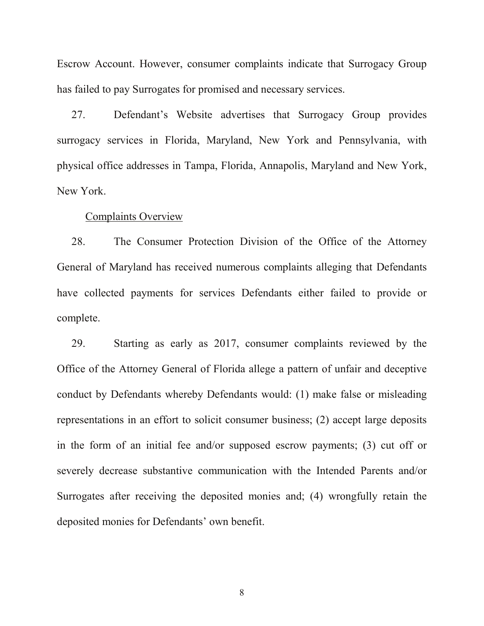Escrow Account. However, consumer complaints indicate that Surrogacy Group has failed to pay Surrogates for promised and necessary services.

27. Defendant's Website advertises that Surrogacy Group provides surrogacy services in Florida, Maryland, New York and Pennsylvania, with physical office addresses in Tampa, Florida, Annapolis, Maryland and New York, New York.

#### Complaints Overview

28. The Consumer Protection Division of the Office of the Attorney General of Maryland has received numerous complaints alleging that Defendants have collected payments for services Defendants either failed to provide or complete.

29. Starting as early as 2017, consumer complaints reviewed by the Office of the Attorney General of Florida allege a pattern of unfair and deceptive conduct by Defendants whereby Defendants would: (1) make false or misleading representations in an effort to solicit consumer business; (2) accept large deposits in the form of an initial fee and/or supposed escrow payments; (3) cut off or severely decrease substantive communication with the Intended Parents and/or Surrogates after receiving the deposited monies and; (4) wrongfully retain the deposited monies for Defendants' own benefit.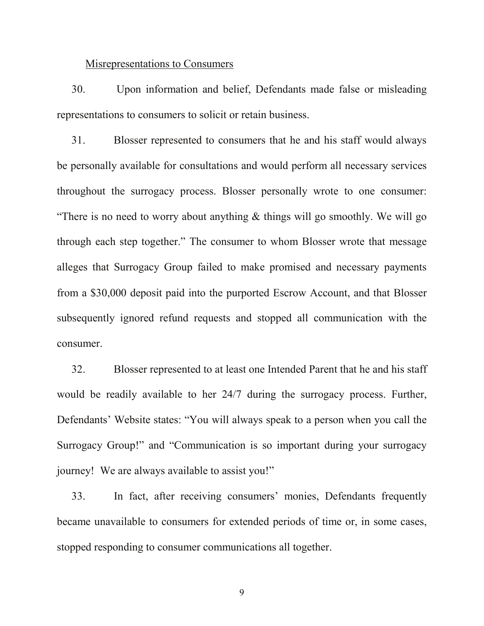### Misrepresentations to Consumers

30. Upon information and belief, Defendants made false or misleading representations to consumers to solicit or retain business.

31. Blosser represented to consumers that he and his staff would always be personally available for consultations and would perform all necessary services throughout the surrogacy process. Blosser personally wrote to one consumer: "There is no need to worry about anything  $\&$  things will go smoothly. We will go through each step together." The consumer to whom Blosser wrote that message alleges that Surrogacy Group failed to make promised and necessary payments from a \$30,000 deposit paid into the purported Escrow Account, and that Blosser subsequently ignored refund requests and stopped all communication with the consumer.

32. Blosser represented to at least one Intended Parent that he and his staff would be readily available to her 24/7 during the surrogacy process. Further, Defendants' Website states: "You will always speak to a person when you call the Surrogacy Group!" and "Communication is so important during your surrogacy journey! We are always available to assist you!"

33. In fact, after receiving consumers' monies, Defendants frequently became unavailable to consumers for extended periods of time or, in some cases, stopped responding to consumer communications all together.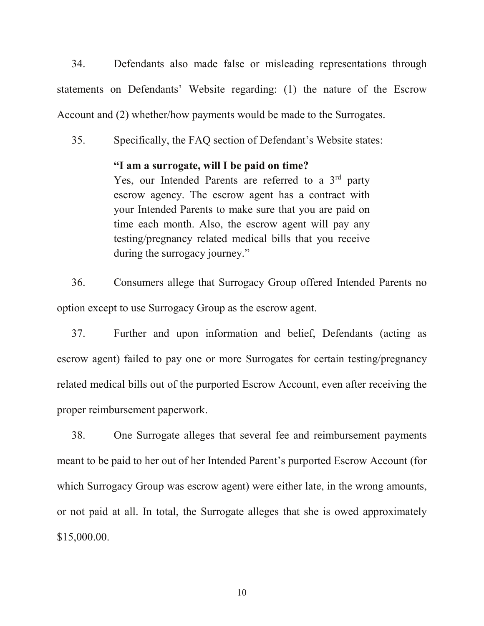34. Defendants also made false or misleading representations through statements on Defendants' Website regarding: (1) the nature of the Escrow Account and (2) whether/how payments would be made to the Surrogates.

35. Specifically, the FAQ section of Defendant's Website states:

### **"I am a surrogate, will I be paid on time?**

Yes, our Intended Parents are referred to a  $3<sup>rd</sup>$  party escrow agency. The escrow agent has a contract with your Intended Parents to make sure that you are paid on time each month. Also, the escrow agent will pay any testing/pregnancy related medical bills that you receive during the surrogacy journey."

36. Consumers allege that Surrogacy Group offered Intended Parents no option except to use Surrogacy Group as the escrow agent.

37. Further and upon information and belief, Defendants (acting as escrow agent) failed to pay one or more Surrogates for certain testing/pregnancy related medical bills out of the purported Escrow Account, even after receiving the proper reimbursement paperwork.

38. One Surrogate alleges that several fee and reimbursement payments meant to be paid to her out of her Intended Parent's purported Escrow Account (for which Surrogacy Group was escrow agent) were either late, in the wrong amounts, or not paid at all. In total, the Surrogate alleges that she is owed approximately \$15,000.00.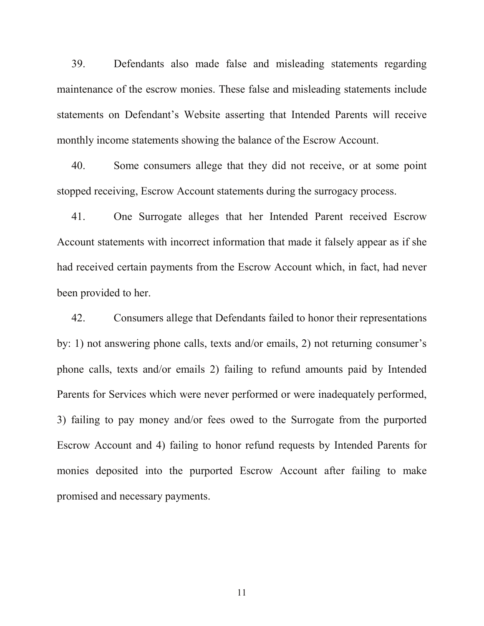39. Defendants also made false and misleading statements regarding maintenance of the escrow monies. These false and misleading statements include statements on Defendant's Website asserting that Intended Parents will receive monthly income statements showing the balance of the Escrow Account.

40. Some consumers allege that they did not receive, or at some point stopped receiving, Escrow Account statements during the surrogacy process.

41. One Surrogate alleges that her Intended Parent received Escrow Account statements with incorrect information that made it falsely appear as if she had received certain payments from the Escrow Account which, in fact, had never been provided to her.

42. Consumers allege that Defendants failed to honor their representations by: 1) not answering phone calls, texts and/or emails, 2) not returning consumer's phone calls, texts and/or emails 2) failing to refund amounts paid by Intended Parents for Services which were never performed or were inadequately performed, 3) failing to pay money and/or fees owed to the Surrogate from the purported Escrow Account and 4) failing to honor refund requests by Intended Parents for monies deposited into the purported Escrow Account after failing to make promised and necessary payments.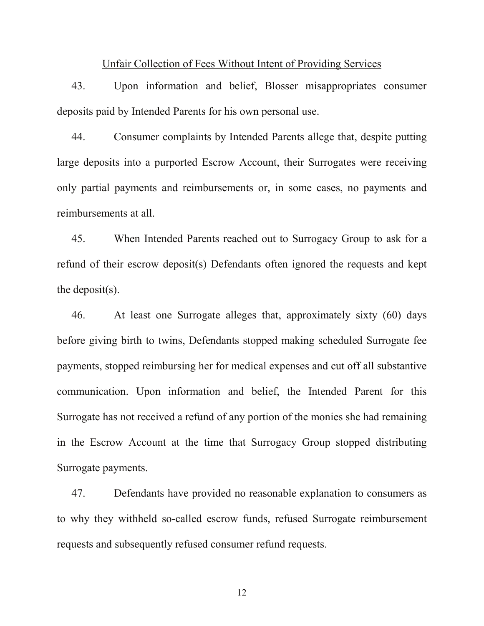#### Unfair Collection of Fees Without Intent of Providing Services

43. Upon information and belief, Blosser misappropriates consumer deposits paid by Intended Parents for his own personal use.

44. Consumer complaints by Intended Parents allege that, despite putting large deposits into a purported Escrow Account, their Surrogates were receiving only partial payments and reimbursements or, in some cases, no payments and reimbursements at all.

45. When Intended Parents reached out to Surrogacy Group to ask for a refund of their escrow deposit(s) Defendants often ignored the requests and kept the deposit(s).

46. At least one Surrogate alleges that, approximately sixty (60) days before giving birth to twins, Defendants stopped making scheduled Surrogate fee payments, stopped reimbursing her for medical expenses and cut off all substantive communication. Upon information and belief, the Intended Parent for this Surrogate has not received a refund of any portion of the monies she had remaining in the Escrow Account at the time that Surrogacy Group stopped distributing Surrogate payments.

47. Defendants have provided no reasonable explanation to consumers as to why they withheld so-called escrow funds, refused Surrogate reimbursement requests and subsequently refused consumer refund requests.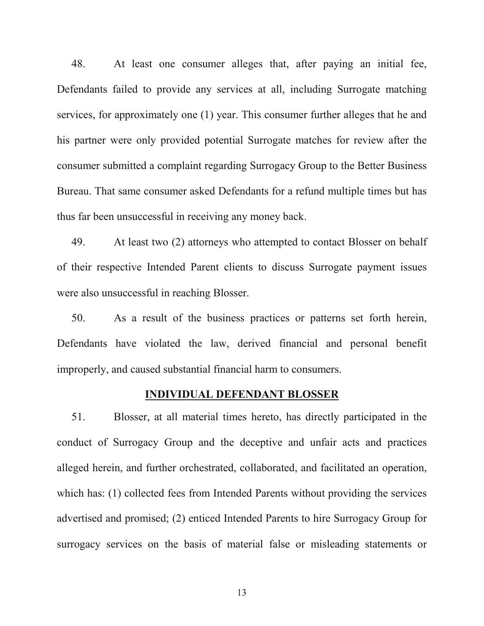48. At least one consumer alleges that, after paying an initial fee, Defendants failed to provide any services at all, including Surrogate matching services, for approximately one (1) year. This consumer further alleges that he and his partner were only provided potential Surrogate matches for review after the consumer submitted a complaint regarding Surrogacy Group to the Better Business Bureau. That same consumer asked Defendants for a refund multiple times but has thus far been unsuccessful in receiving any money back.

49. At least two (2) attorneys who attempted to contact Blosser on behalf of their respective Intended Parent clients to discuss Surrogate payment issues were also unsuccessful in reaching Blosser.

50. As a result of the business practices or patterns set forth herein, Defendants have violated the law, derived financial and personal benefit improperly, and caused substantial financial harm to consumers.

### **INDIVIDUAL DEFENDANT BLOSSER**

51. Blosser, at all material times hereto, has directly participated in the conduct of Surrogacy Group and the deceptive and unfair acts and practices alleged herein, and further orchestrated, collaborated, and facilitated an operation, which has: (1) collected fees from Intended Parents without providing the services advertised and promised; (2) enticed Intended Parents to hire Surrogacy Group for surrogacy services on the basis of material false or misleading statements or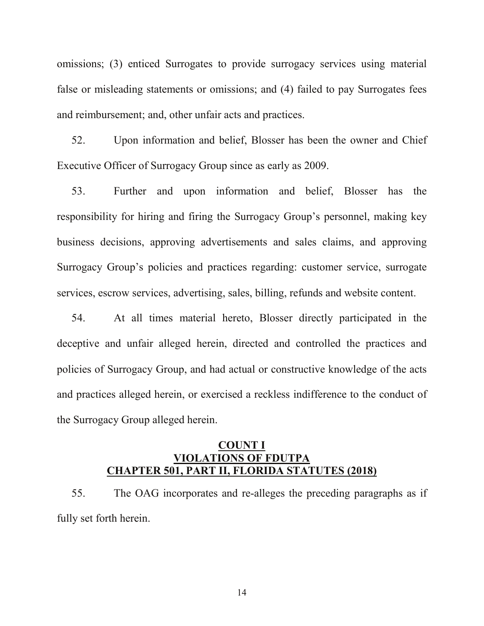omissions; (3) enticed Surrogates to provide surrogacy services using material false or misleading statements or omissions; and (4) failed to pay Surrogates fees and reimbursement; and, other unfair acts and practices.

52. Upon information and belief, Blosser has been the owner and Chief Executive Officer of Surrogacy Group since as early as 2009.

53. Further and upon information and belief, Blosser has the responsibility for hiring and firing the Surrogacy Group's personnel, making key business decisions, approving advertisements and sales claims, and approving Surrogacy Group's policies and practices regarding: customer service, surrogate services, escrow services, advertising, sales, billing, refunds and website content.

54. At all times material hereto, Blosser directly participated in the deceptive and unfair alleged herein, directed and controlled the practices and policies of Surrogacy Group, and had actual or constructive knowledge of the acts and practices alleged herein, or exercised a reckless indifference to the conduct of the Surrogacy Group alleged herein.

## **COUNT I VIOLATIONS OF FDUTPA CHAPTER 501, PART II, FLORIDA STATUTES (2018)**

55. The OAG incorporates and re-alleges the preceding paragraphs as if fully set forth herein.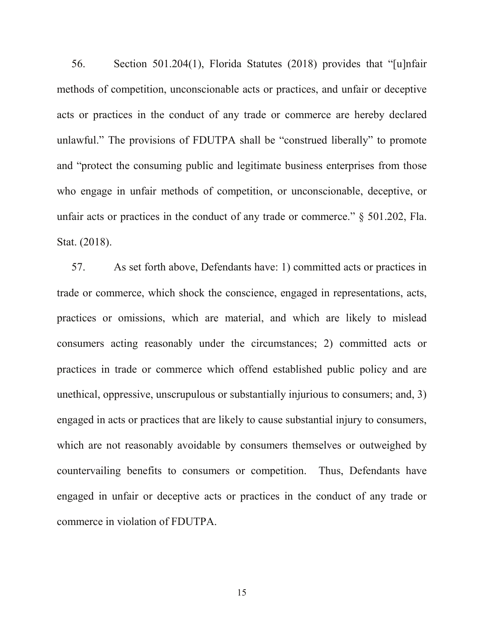56. Section 501.204(1), Florida Statutes (2018) provides that "[u]nfair methods of competition, unconscionable acts or practices, and unfair or deceptive acts or practices in the conduct of any trade or commerce are hereby declared unlawful." The provisions of FDUTPA shall be "construed liberally" to promote and "protect the consuming public and legitimate business enterprises from those who engage in unfair methods of competition, or unconscionable, deceptive, or unfair acts or practices in the conduct of any trade or commerce." § 501.202, Fla. Stat. (2018).

57. As set forth above, Defendants have: 1) committed acts or practices in trade or commerce, which shock the conscience, engaged in representations, acts, practices or omissions, which are material, and which are likely to mislead consumers acting reasonably under the circumstances; 2) committed acts or practices in trade or commerce which offend established public policy and are unethical, oppressive, unscrupulous or substantially injurious to consumers; and, 3) engaged in acts or practices that are likely to cause substantial injury to consumers, which are not reasonably avoidable by consumers themselves or outweighed by countervailing benefits to consumers or competition. Thus, Defendants have engaged in unfair or deceptive acts or practices in the conduct of any trade or commerce in violation of FDUTPA.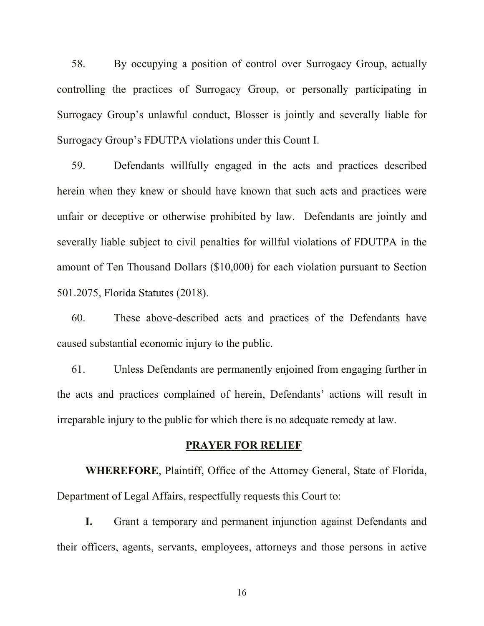58. By occupying a position of control over Surrogacy Group, actually controlling the practices of Surrogacy Group, or personally participating in Surrogacy Group's unlawful conduct, Blosser is jointly and severally liable for Surrogacy Group's FDUTPA violations under this Count I.

59. Defendants willfully engaged in the acts and practices described herein when they knew or should have known that such acts and practices were unfair or deceptive or otherwise prohibited by law. Defendants are jointly and severally liable subject to civil penalties for willful violations of FDUTPA in the amount of Ten Thousand Dollars (\$10,000) for each violation pursuant to Section 501.2075, Florida Statutes (2018).

60. These above-described acts and practices of the Defendants have caused substantial economic injury to the public.

61. Unless Defendants are permanently enjoined from engaging further in the acts and practices complained of herein, Defendants' actions will result in irreparable injury to the public for which there is no adequate remedy at law.

### **PRAYER FOR RELIEF**

**WHEREFORE**, Plaintiff, Office of the Attorney General, State of Florida, Department of Legal Affairs, respectfully requests this Court to:

**I.** Grant a temporary and permanent injunction against Defendants and their officers, agents, servants, employees, attorneys and those persons in active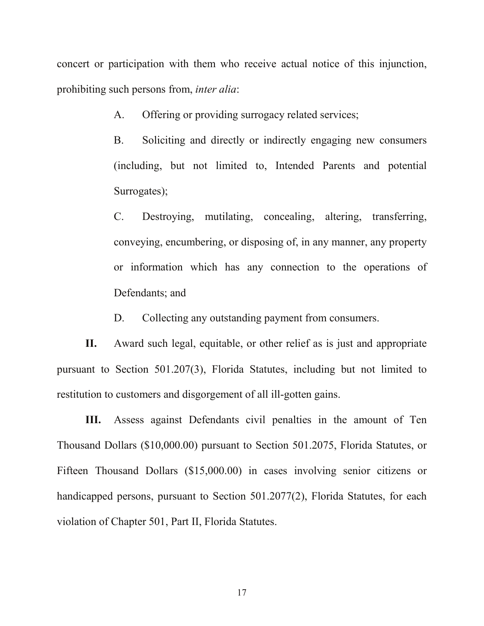concert or participation with them who receive actual notice of this injunction, prohibiting such persons from, *inter alia*:

A. Offering or providing surrogacy related services;

B. Soliciting and directly or indirectly engaging new consumers (including, but not limited to, Intended Parents and potential Surrogates);

C. Destroying, mutilating, concealing, altering, transferring, conveying, encumbering, or disposing of, in any manner, any property or information which has any connection to the operations of Defendants; and

D. Collecting any outstanding payment from consumers.

**II.** Award such legal, equitable, or other relief as is just and appropriate pursuant to Section 501.207(3), Florida Statutes, including but not limited to restitution to customers and disgorgement of all ill-gotten gains.

**III.** Assess against Defendants civil penalties in the amount of Ten Thousand Dollars (\$10,000.00) pursuant to Section 501.2075, Florida Statutes, or Fifteen Thousand Dollars (\$15,000.00) in cases involving senior citizens or handicapped persons, pursuant to Section 501.2077(2), Florida Statutes, for each violation of Chapter 501, Part II, Florida Statutes.